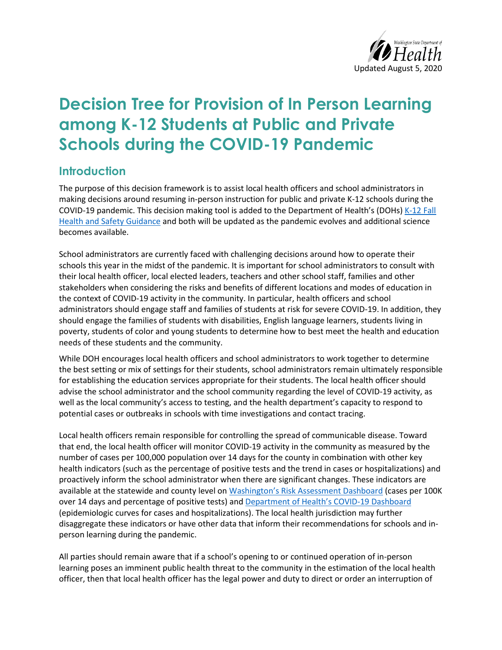

# **Decision Tree for Provision of In Person Learning among K-12 Students at Public and Private Schools during the COVID-19 Pandemic**

#### **Introduction**

The purpose of this decision framework is to assist local health officers and school administrators in making decisions around resuming in-person instruction for public and private K-12 schools during the COVID-19 pandemic. This decision making tool is added to the Department of Health's (DOHs) [K-12 Fall](https://www.doh.wa.gov/Portals/1/Documents/1600/coronavirus/FallGuidanceK-12.pdf)  [Health and Safety Guidance](https://www.doh.wa.gov/Portals/1/Documents/1600/coronavirus/FallGuidanceK-12.pdf) and both will be updated as the pandemic evolves and additional science becomes available.

School administrators are currently faced with challenging decisions around how to operate their schools this year in the midst of the pandemic. It is important for school administrators to consult with their local health officer, local elected leaders, teachers and other school staff, families and other stakeholders when considering the risks and benefits of different locations and modes of education in the context of COVID-19 activity in the community. In particular, health officers and school administrators should engage staff and families of students at risk for severe COVID-19. In addition, they should engage the families of students with disabilities, English language learners, students living in poverty, students of color and young students to determine how to best meet the health and education needs of these students and the community.

While DOH encourages local health officers and school administrators to work together to determine the best setting or mix of settings for their students, school administrators remain ultimately responsible for establishing the education services appropriate for their students. The local health officer should advise the school administrator and the school community regarding the level of COVID-19 activity, as well as the local community's access to testing, and the health department's capacity to respond to potential cases or outbreaks in schools with time investigations and contact tracing.

Local health officers remain responsible for controlling the spread of communicable disease. Toward that end, the local health officer will monitor COVID-19 activity in the community as measured by the number of cases per 100,000 population over 14 days for the county in combination with other key health indicators (such as the percentage of positive tests and the trend in cases or hospitalizations) and proactively inform the school administrator when there are significant changes. These indicators are available at the statewide and county level o[n Washington's Risk Assessment Dashboard](https://coronavirus.wa.gov/what-you-need-know/covid-19-risk-assessment-dashboard) (cases per 100K over 14 days and percentage of positive tests) and [Department of Health's COVID-19 Dashboard](https://www.doh.wa.gov/Emergencies/NovelCoronavirusOutbreak2020COVID19/DataDashboard) (epidemiologic curves for cases and hospitalizations). The local health jurisdiction may further disaggregate these indicators or have other data that inform their recommendations for schools and inperson learning during the pandemic.

All parties should remain aware that if a school's opening to or continued operation of in-person learning poses an imminent public health threat to the community in the estimation of the local health officer, then that local health officer has the legal power and duty to direct or order an interruption of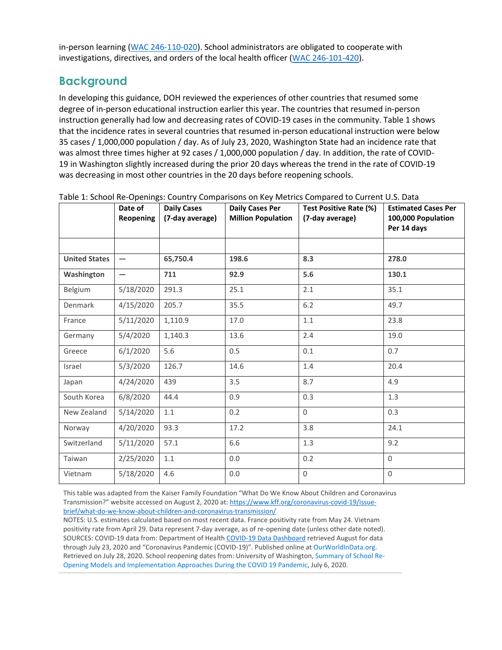in-person learning [\(WAC 246-110-020\)](https://app.leg.wa.gov/wac/default.aspx?cite=246-110-020). School administrators are obligated to cooperate with investigations, directives, and orders of the local health officer [\(WAC 246-101-420\)](https://app.leg.wa.gov/wac/default.aspx?cite=246-101&full=true#246-101-420).

## **Background**

In developing this guidance, DOH reviewed the experiences of other countries that resumed some degree of in-person educational instruction earlier this year. The countries that resumed in-person instruction generally had low and decreasing rates of COVID-19 cases in the community. Table 1 shows that the incidence rates in several countries that resumed in-person educational instruction were below 35 cases / 1,000,000 population / day. As of July 23, 2020, Washington State had an incidence rate that was almost three times higher at 92 cases / 1,000,000 population / day. In addition, the rate of COVID-19 in Washington slightly increased during the prior 20 days whereas the trend in the rate of COVID-19 was decreasing in most other countries in the 20 days before reopening schools.

|                      | Date of<br><b>Reopening</b> | $\sim$ $\sim$ $\sim$<br><b>Daily Cases</b><br>(7-day average) | $-$<br><b>Daily Cases Per</b><br><b>Million Population</b> | Test Positive Rate (%)<br>(7-day average) | <b>Estimated Cases Per</b><br>100,000 Population<br>Per 14 days |
|----------------------|-----------------------------|---------------------------------------------------------------|------------------------------------------------------------|-------------------------------------------|-----------------------------------------------------------------|
|                      |                             |                                                               |                                                            |                                           |                                                                 |
| <b>United States</b> |                             | 65,750.4                                                      | 198.6                                                      | 8.3                                       | 278.0                                                           |
| Washington           | $\overline{\phantom{0}}$    | 711                                                           | 92.9                                                       | 5.6                                       | 130.1                                                           |
| Belgium              | 5/18/2020                   | 291.3                                                         | 25.1                                                       | 2.1                                       | 35.1                                                            |
| Denmark              | 4/15/2020                   | 205.7                                                         | 35.5                                                       | 6.2                                       | 49.7                                                            |
| France               | 5/11/2020                   | 1,110.9                                                       | 17.0                                                       | 1.1                                       | 23.8                                                            |
| Germany              | 5/4/2020                    | 1,140.3                                                       | 13.6                                                       | 2.4                                       | 19.0                                                            |
| Greece               | 6/1/2020                    | 5.6                                                           | 0.5                                                        | 0.1                                       | 0.7                                                             |
| Israel               | 5/3/2020                    | 126.7                                                         | 14.6                                                       | 1.4                                       | 20.4                                                            |
| Japan                | 4/24/2020                   | 439                                                           | 3.5                                                        | 8.7                                       | 4.9                                                             |
| South Korea          | 6/8/2020                    | 44.4                                                          | 0.9                                                        | 0.3                                       | 1.3                                                             |
| New Zealand          | 5/14/2020                   | 1.1                                                           | 0.2                                                        | $\Omega$                                  | 0.3                                                             |
| Norway               | 4/20/2020                   | 93.3                                                          | 17.2                                                       | 3.8                                       | 24.1                                                            |
| Switzerland          | 5/11/2020                   | 57.1                                                          | 6.6                                                        | 1.3                                       | 9.2                                                             |
| Taiwan               | 2/25/2020                   | 1.1                                                           | 0.0                                                        | 0.2                                       | $\Omega$                                                        |
| Vietnam              | 5/18/2020                   | 4.6                                                           | 0.0                                                        | $\Omega$                                  | $\Omega$                                                        |

Table 1: School Re-Openings: Country Comparisons on Key Metrics Compared to Current U.S. Data

This table was adapted from the Kaiser Family Foundation "What Do We Know About Children and Coronavirus Transmission?" website accessed on August 2, 2020 at[: https://www.kff.org/coronavirus-covid-19/issue](https://www.kff.org/coronavirus-covid-19/issue-brief/what-do-we-know-about-children-and-coronavirus-transmission/)[brief/what-do-we-know-about-children-and-coronavirus-transmission/](https://www.kff.org/coronavirus-covid-19/issue-brief/what-do-we-know-about-children-and-coronavirus-transmission/)

NOTES: U.S. estimates calculated based on most recent data. France positivity rate from May 24. Vietnam positivity rate from April 29. Data represent 7-day average, as of re-opening date (unless other date noted). SOURCES: COVID-19 data from: Department of Healt[h COVID-19 Data Dashboard](https://www.doh.wa.gov/Emergencies/NovelCoronavirusOutbreak2020COVID19/DataDashboard) retrieved August for data through July 23, 2020 and "Coronavirus Pandemic (COVID-19)". Published online at [OurWorldInData.org.](https://ourworldindata.org/coronavirus) Retrieved on July 28, 2020. School reopening dates from: University of Washington, [Summary of](https://globalhealth.washington.edu/sites/default/files/COVID-19%20Schools%20Summary%20%28updated%29.pdf) School Re-Opening Models and [Implementation](https://globalhealth.washington.edu/sites/default/files/COVID-19%20Schools%20Summary%20%28updated%29.pdf) Approaches During the COVID 19 Pandemic, July 6, 2020.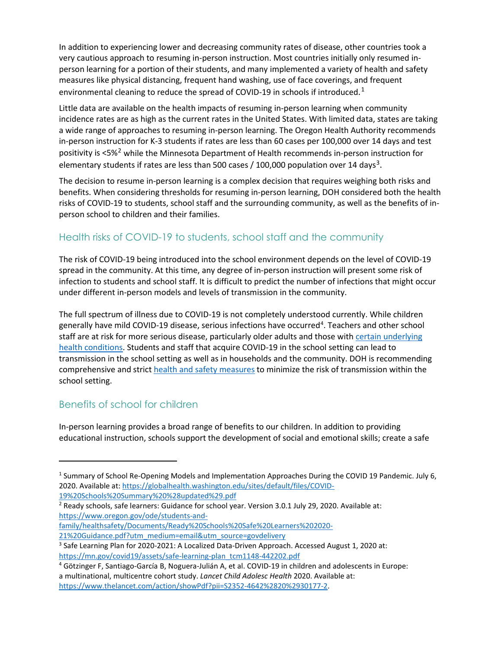In addition to experiencing lower and decreasing community rates of disease, other countries took a very cautious approach to resuming in-person instruction. Most countries initially only resumed inperson learning for a portion of their students, and many implemented a variety of health and safety measures like physical distancing, frequent hand washing, use of face coverings, and frequent environmental cleaning to reduce the spread of COVID-[1](#page-2-0)9 in schools if introduced.<sup>1</sup>

Little data are available on the health impacts of resuming in-person learning when community incidence rates are as high as the current rates in the United States. With limited data, states are taking a wide range of approaches to resuming in-person learning. The Oregon Health Authority recommends in-person instruction for K-3 students if rates are less than 60 cases per 100,000 over 14 days and test positivity is <5%[2](#page-2-1) while the Minnesota Department of Health recommends in-person instruction for elementary students if rates are less than 500 cases / 100,000 population over 14 days<sup>[3](#page-2-2)</sup>.

The decision to resume in-person learning is a complex decision that requires weighing both risks and benefits. When considering thresholds for resuming in-person learning, DOH considered both the health risks of COVID-19 to students, school staff and the surrounding community, as well as the benefits of inperson school to children and their families.

#### Health risks of COVID-19 to students, school staff and the community

The risk of COVID-19 being introduced into the school environment depends on the level of COVID-19 spread in the community. At this time, any degree of in-person instruction will present some risk of infection to students and school staff. It is difficult to predict the number of infections that might occur under different in-person models and levels of transmission in the community.

The full spectrum of illness due to COVID-19 is not completely understood currently. While children generally have mild COVID-19 disease, serious infections have occurred<sup>[4](#page-2-3)</sup>. Teachers and other school staff are at risk for more serious disease, particularly older adults and those with [certain underlying](https://www.cdc.gov/coronavirus/2019-ncov/need-extra-precautions/people-at-increased-risk.html)  [health conditions.](https://www.cdc.gov/coronavirus/2019-ncov/need-extra-precautions/people-at-increased-risk.html) Students and staff that acquire COVID-19 in the school setting can lead to transmission in the school setting as well as in households and the community. DOH is recommending comprehensive and stric[t health and safety measures](https://www.doh.wa.gov/Portals/1/Documents/1600/coronavirus/FallGuidanceK-12.pdf) to minimize the risk of transmission within the school setting.

#### Benefits of school for children

In-person learning provides a broad range of benefits to our children. In addition to providing educational instruction, schools support the development of social and emotional skills; create a safe

[family/healthsafety/Documents/Ready%20Schools%20Safe%20Learners%202020-](https://www.oregon.gov/ode/students-and-family/healthsafety/Documents/Ready%20Schools%20Safe%20Learners%202020-21%20Guidance.pdf?utm_medium=email&utm_source=govdelivery)

<span id="page-2-0"></span><sup>1</sup> Summary of School Re-Opening Models and Implementation Approaches During the COVID 19 Pandemic. July 6, 2020. Available at[: https://globalhealth.washington.edu/sites/default/files/COVID-](https://globalhealth.washington.edu/sites/default/files/COVID-19%20Schools%20Summary%20%28updated%29.pdf)

<span id="page-2-1"></span><sup>19%20</sup>Schools%20Summary%20%28updated%29.pdf<br><sup>2</sup> Ready schools, safe learners: Guidance for school year. Version 3.0.1 July 29, 2020. Available at: [https://www.oregon.gov/ode/students-and-](https://www.oregon.gov/ode/students-and-family/healthsafety/Documents/Ready%20Schools%20Safe%20Learners%202020-21%20Guidance.pdf?utm_medium=email&utm_source=govdelivery)

<span id="page-2-2"></span><sup>21%20</sup>Guidance.pdf?utm\_medium=email&utm\_source=govdelivery<br><sup>3</sup> Safe Learning Plan for 2020-2021: A Localized Data-Driven Approach. Accessed August 1, 2020 at: [https://mn.gov/covid19/assets/safe-learning-plan\\_tcm1148-442202.pdf](https://mn.gov/covid19/assets/safe-learning-plan_tcm1148-442202.pdf)

<span id="page-2-3"></span><sup>4</sup> Götzinger F, Santiago-García B, Noguera-Julián A, et al. COVID-19 in children and adolescents in Europe: a multinational, multicentre cohort study. *Lancet Child Adolesc Health* 2020. Available at: [https://www.thelancet.com/action/showPdf?pii=S2352-4642%2820%2930177-2.](https://www.thelancet.com/action/showPdf?pii=S2352-4642%2820%2930177-2)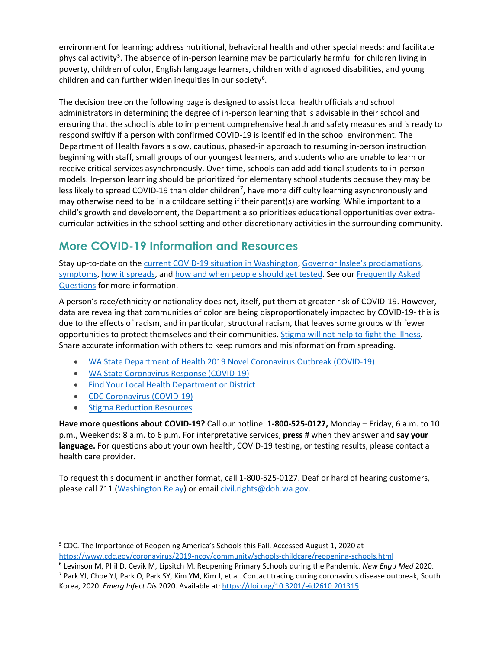environment for learning; address nutritional, behavioral health and other special needs; and facilitate physical activity<sup>[5](#page-3-0)</sup>. The absence of in-person learning may be particularly harmful for children living in poverty, children of color, English language learners, children with diagnosed disabilities, and young children and can further widen inequities in our society<sup>[6](#page-3-1)</sup>.

The decision tree on the following page is designed to assist local health officials and school administrators in determining the degree of in-person learning that is advisable in their school and ensuring that the school is able to implement comprehensive health and safety measures and is ready to respond swiftly if a person with confirmed COVID-19 is identified in the school environment. The Department of Health favors a slow, cautious, phased-in approach to resuming in-person instruction beginning with staff, small groups of our youngest learners, and students who are unable to learn or receive critical services asynchronously. Over time, schools can add additional students to in-person models. In-person learning should be prioritized for elementary school students because they may be less likely to spread COVID-19 than older children<sup>[7](#page-3-2)</sup>, have more difficulty learning asynchronously and may otherwise need to be in a childcare setting if their parent(s) are working. While important to a child's growth and development, the Department also prioritizes educational opportunities over extracurricular activities in the school setting and other discretionary activities in the surrounding community.

# **More COVID-19 Information and Resources**

Stay up-to-date on th[e current COVID-19 situation in Washington,](https://www.doh.wa.gov/Emergencies/Coronavirus) [Governor Inslee's proclamations,](https://www.governor.wa.gov/office-governor/official-actions/proclamations) [symptoms,](https://www.doh.wa.gov/Emergencies/NovelCoronavirusOutbreak2020/FrequentlyAskedQuestions#what-are-symptoms) [how it spreads,](https://www.doh.wa.gov/Emergencies/NovelCoronavirusOutbreak2020/FrequentlyAskedQuestions#spread) an[d how and when people should get tested.](https://www.doh.wa.gov/Emergencies/NovelCoronavirusOutbreak2020/TestingforCOVID19) See our [Frequently Asked](https://www.doh.wa.gov/Emergencies/NovelCoronavirusOutbreak2020/FrequentlyAskedQuestions)  [Questions](https://www.doh.wa.gov/Emergencies/NovelCoronavirusOutbreak2020/FrequentlyAskedQuestions) for more information.

A person's race/ethnicity or nationality does not, itself, put them at greater risk of COVID-19. However, data are revealing that communities of color are being disproportionately impacted by COVID-19- this is due to the effects of racism, and in particular, structural racism, that leaves some groups with fewer opportunities to protect themselves and their communities. [Stigma will not help to fight the illness.](https://medium.com/wadepthealth/it-takes-all-of-us-to-reduce-stigma-during-disease-outbreaks-310db60dce29) Share accurate information with others to keep rumors and misinformation from spreading.

- [WA State Department of Health 2019 Novel Coronavirus Outbreak \(COVID-19\)](https://www.doh.wa.gov/emergencies/coronavirus)
- [WA State Coronavirus Response \(COVID-19\)](https://coronavirus.wa.gov/)
- [Find Your Local Health Department or District](https://www.doh.wa.gov/AboutUs/PublicHealthSystem/LocalHealthJurisdictions)
- [CDC Coronavirus \(COVID-19\)](https://www.cdc.gov/coronavirus/2019-ncov/index.html)
- [Stigma Reduction](https://www.doh.wa.gov/Emergencies/NovelCoronavirusOutbreak2020/StigmaReduction) Resources

**Have more questions about COVID-19?** Call our hotline: **1-800-525-0127,** Monday – Friday, 6 a.m. to 10 p.m., Weekends: 8 a.m. to 6 p.m. For interpretative services, **press #** when they answer and **say your language.** For questions about your own health, COVID-19 testing, or testing results, please contact a health care provider.

To request this document in another format, call 1-800-525-0127. Deaf or hard of hearing customers, please call 711 [\(Washington Relay\)](https://www.dshs.wa.gov/altsa/odhh/telecommunication-relay-services) or email [civil.rights@doh.wa.gov.](mailto:civil.rights@doh.wa.gov)

<span id="page-3-0"></span><sup>5</sup> CDC. The Importance of Reopening America's Schools this Fall. Accessed August 1, 2020 at

<span id="page-3-1"></span><https://www.cdc.gov/coronavirus/2019-ncov/community/schools-childcare/reopening-schools.html>6 Levinson M, Phil D, Cevik M, Lipsitch M. Reopening Primary Schools during the Pandemic. *New Eng J Med* 2020. <sup>7</sup> Park YJ, Choe YJ, Park O, Park SY, Kim YM, Kim J, et al. Contact tracing during coronavirus disease outbreak, South

<span id="page-3-2"></span>Korea, 2020. *Emerg Infect Dis* 2020. Available at:<https://doi.org/10.3201/eid2610.201315>